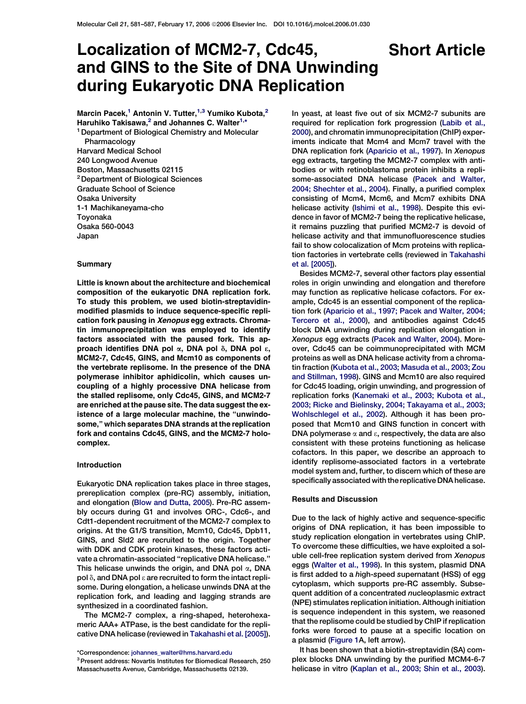# <span id="page-0-0"></span>Localization of MCM2-7, Cdc45, Short Article and GINS to the Site of DNA Unwinding during Eukaryotic DNA Replication

Marcin Pacek,<sup>1</sup> Antonin V. Tutter,<sup>1,3</sup> Yumiko Kubota,<sup>2</sup> Haruhiko Takisawa,<sup>2</sup> and Johannes C. Walter<sup>1,\*</sup>

<sup>1</sup> Department of Biological Chemistry and Molecular Pharmacology Harvard Medical School 240 Longwood Avenue Boston, Massachusetts 02115 2Department of Biological Sciences Graduate School of Science Osaka University 1-1 Machikaneyama-cho Toyonaka Osaka 560-0043 Japan

### Summary

Little is known about the architecture and biochemical composition of the eukaryotic DNA replication fork. To study this problem, we used biotin-streptavidinmodified plasmids to induce sequence-specific replication fork pausing in Xenopus egg extracts. Chromatin immunoprecipitation was employed to identify factors associated with the paused fork. This approach identifies DNA pol  $\alpha$ , DNA pol  $\delta$ , DNA pol  $\epsilon$ , MCM2-7, Cdc45, GINS, and Mcm10 as components of the vertebrate replisome. In the presence of the DNA polymerase inhibitor aphidicolin, which causes uncoupling of a highly processive DNA helicase from the stalled replisome, only Cdc45, GINS, and MCM2-7 are enriched at the pause site. The data suggest the existence of a large molecular machine, the ''unwindosome,'' which separates DNA strands at the replication fork and contains Cdc45, GINS, and the MCM2-7 holocomplex.

## Introduction

Eukaryotic DNA replication takes place in three stages, prereplication complex (pre-RC) assembly, initiation, and elongation ([Blow and Dutta, 2005](#page-5-0)). Pre-RC assembly occurs during G1 and involves ORC-, Cdc6-, and Cdt1-dependent recruitment of the MCM2-7 complex to origins. At the G1/S transition, Mcm10, Cdc45, Dpb11, GINS, and Sld2 are recruited to the origin. Together with DDK and CDK protein kinases, these factors activate a chromatin-associated ''replicative DNA helicase.'' This helicase unwinds the origin, and DNA pol  $\alpha$ , DNA pol  $\delta$ , and DNA pol  $\epsilon$  are recruited to form the intact replisome. During elongation, a helicase unwinds DNA at the replication fork, and leading and lagging strands are synthesized in a coordinated fashion.

The MCM2-7 complex, a ring-shaped, heterohexameric AAA+ ATPase, is the best candidate for the replicative DNA helicase (reviewed in [Takahashi et al. \[2005\]](#page-6-0)).

\*Correspondence: [johannes\\_walter@hms.harvard.edu](mailto:johannes_walter@hms.harvard.edu)

3Present address: Novartis Institutes for Biomedical Research, 250 Massachusetts Avenue, Cambridge, Massachusetts 02139.

In yeast, at least five out of six MCM2-7 subunits are required for replication fork progression ([Labib et al.,](#page-5-0) [2000\)](#page-5-0), and chromatin immunoprecipitation (ChIP) experiments indicate that Mcm4 and Mcm7 travel with the DNA replication fork ([Aparicio et al., 1997](#page-5-0)). In Xenopus egg extracts, targeting the MCM2-7 complex with antibodies or with retinoblastoma protein inhibits a replisome-associated DNA helicase ([Pacek and Walter,](#page-6-0) [2004; Shechter et al., 2004](#page-6-0)). Finally, a purified complex consisting of Mcm4, Mcm6, and Mcm7 exhibits DNA helicase activity [\(Ishimi et al., 1998\)](#page-5-0). Despite this evidence in favor of MCM2-7 being the replicative helicase, it remains puzzling that purified MCM2-7 is devoid of helicase activity and that immunofluorescence studies fail to show colocalization of Mcm proteins with replication factories in vertebrate cells (reviewed in [Takahashi](#page-6-0) [et al. \[2005\]\)](#page-6-0).

Besides MCM2-7, several other factors play essential roles in origin unwinding and elongation and therefore may function as replicative helicase cofactors. For example, Cdc45 is an essential component of the replication fork [\(Aparicio et al., 1997; Pacek and Walter, 2004;](#page-5-0) [Tercero et al., 2000\)](#page-5-0), and antibodies against Cdc45 block DNA unwinding during replication elongation in Xenopus egg extracts ([Pacek and Walter, 2004](#page-6-0)). Moreover, Cdc45 can be coimmunoprecipitated with MCM proteins as well as DNA helicase activity from a chromatin fraction [\(Kubota et al., 2003; Masuda et al., 2003; Zou](#page-5-0) [and Stillman, 1998](#page-5-0)). GINS and Mcm10 are also required for Cdc45 loading, origin unwinding, and progression of replication forks [\(Kanemaki et al., 2003; Kubota et al.,](#page-5-0) [2003; Ricke and Bielinsky, 2004; Takayama et al., 2003;](#page-5-0) [Wohlschlegel et al., 2002](#page-5-0)). Although it has been proposed that Mcm10 and GINS function in concert with DNA polymerase  $\alpha$  and  $\epsilon$ , respectively, the data are also consistent with these proteins functioning as helicase cofactors. In this paper, we describe an approach to identify replisome-associated factors in a vertebrate model system and, further, to discern which of these are specifically associated with the replicative DNA helicase.

#### Results and Discussion

Due to the lack of highly active and sequence-specific origins of DNA replication, it has been impossible to study replication elongation in vertebrates using ChIP. To overcome these difficulties, we have exploited a soluble cell-free replication system derived from Xenopus eggs [\(Walter et al., 1998](#page-6-0)). In this system, plasmid DNA is first added to a high-speed supernatant (HSS) of egg cytoplasm, which supports pre-RC assembly. Subsequent addition of a concentrated nucleoplasmic extract (NPE) stimulates replication initiation. Although initiation is sequence independent in this system, we reasoned that the replisome could be studied by ChIP if replication forks were forced to pause at a specific location on a plasmid ([Figure 1](#page-1-0)A, left arrow).

It has been shown that a biotin-streptavidin (SA) complex blocks DNA unwinding by the purified MCM4-6-7 helicase in vitro [\(Kaplan et al., 2003; Shin et al., 2003](#page-5-0)).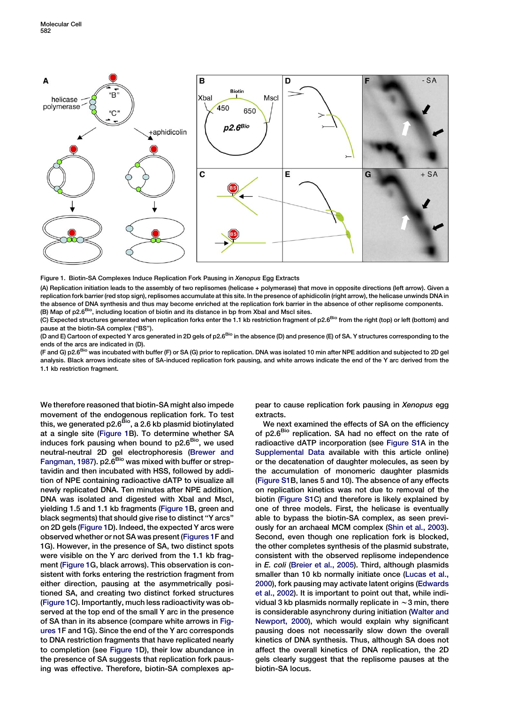<span id="page-1-0"></span>

Figure 1. Biotin-SA Complexes Induce Replication Fork Pausing in Xenopus Egg Extracts

(A) Replication initiation leads to the assembly of two replisomes (helicase + polymerase) that move in opposite directions (left arrow). Given a replication fork barrier (red stop sign), replisomes accumulate at this site. In the presence of aphidicolin (right arrow), the helicase unwinds DNA in the absence of DNA synthesis and thus may become enriched at the replication fork barrier in the absence of other replisome components. (B) Map of p2.6<sup>Bio</sup>, including location of biotin and its distance in bp from XbaI and MscI sites.

(C) Expected structures generated when replication forks enter the 1.1 kb restriction fragment of p2.6<sup>Bio</sup> from the right (top) or left (bottom) and pause at the biotin-SA complex (''BS'').

(D and E) Cartoon of expected Y arcs generated in 2D gels of p2.6<sup>Bio</sup> in the absence (D) and presence (E) of SA. Y structures corresponding to the ends of the arcs are indicated in (D).

(F and G) p2.6<sup>Bio</sup> was incubated with buffer (F) or SA (G) prior to replication. DNA was isolated 10 min after NPE addition and subjected to 2D gel analysis. Black arrows indicate sites of SA-induced replication fork pausing, and white arrows indicate the end of the Y arc derived from the 1.1 kb restriction fragment.

We therefore reasoned that biotin-SA might also impede movement of the endogenous replication fork. To test this, we generated p2.6<sup>Bio</sup>, a 2.6 kb plasmid biotinylated at a single site (Figure 1B). To determine whether SA induces fork pausing when bound to  $p2.6<sup>Bio</sup>$ , we used neutral-neutral 2D gel electrophoresis [\(Brewer and](#page-5-0) [Fangman, 1987\)](#page-5-0). p2.6<sup>Bio</sup> was mixed with buffer or streptavidin and then incubated with HSS, followed by addition of NPE containing radioactive dATP to visualize all newly replicated DNA. Ten minutes after NPE addition, DNA was isolated and digested with Xbal and Mscl, yielding 1.5 and 1.1 kb fragments (Figure 1B, green and black segments) that should give rise to distinct ''Y arcs'' on 2D gels (Figure 1D). Indeed, the expected Y arcs were observed whether or not SA was present (Figures 1F and 1G). However, in the presence of SA, two distinct spots were visible on the Y arc derived from the 1.1 kb fragment (Figure 1G, black arrows). This observation is consistent with forks entering the restriction fragment from either direction, pausing at the asymmetrically positioned SA, and creating two distinct forked structures (Figure 1C). Importantly, much less radioactivity was observed at the top end of the small Y arc in the presence of SA than in its absence (compare white arrows in Figures 1F and 1G). Since the end of the Y arc corresponds to DNA restriction fragments that have replicated nearly to completion (see Figure 1D), their low abundance in the presence of SA suggests that replication fork pausing was effective. Therefore, biotin-SA complexes appear to cause replication fork pausing in Xenopus egg extracts.

We next examined the effects of SA on the efficiency of p2.6<sup>Bio</sup> replication. SA had no effect on the rate of radioactive dATP incorporation (see [Figure S1A](#page-5-0) in the [Supplemental Data](#page-5-0) available with this article online) or the decatenation of daughter molecules, as seen by the accumulation of monomeric daughter plasmids [\(Figure S1](#page-5-0)B, lanes 5 and 10). The absence of any effects on replication kinetics was not due to removal of the biotin [\(Figure S1](#page-5-0)C) and therefore is likely explained by one of three models. First, the helicase is eventually able to bypass the biotin-SA complex, as seen previously for an archaeal MCM complex ([Shin et al., 2003\)](#page-6-0). Second, even though one replication fork is blocked, the other completes synthesis of the plasmid substrate, consistent with the observed replisome independence in E. coli ([Breier et al., 2005\)](#page-5-0). Third, although plasmids smaller than 10 kb normally initiate once ([Lucas et al.,](#page-5-0) [2000\)](#page-5-0), fork pausing may activate latent origins ([Edwards](#page-5-0) [et al., 2002\)](#page-5-0). It is important to point out that, while individual 3 kb plasmids normally replicate in  $\sim$  3 min, there is considerable asynchrony during initiation [\(Walter and](#page-6-0) [Newport, 2000\)](#page-6-0), which would explain why significant pausing does not necessarily slow down the overall kinetics of DNA synthesis. Thus, although SA does not affect the overall kinetics of DNA replication, the 2D gels clearly suggest that the replisome pauses at the biotin-SA locus.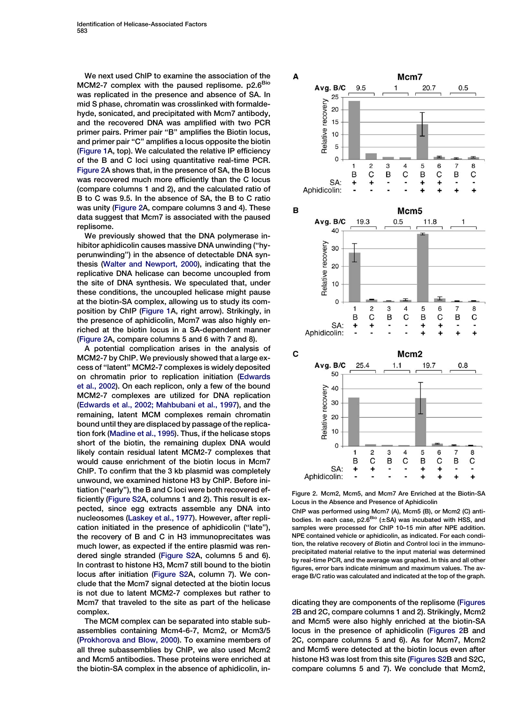<span id="page-2-0"></span>We next used ChIP to examine the association of the MCM2-7 complex with the paused replisome.  $p2.6^{BIO}$ was replicated in the presence and absence of SA. In mid S phase, chromatin was crosslinked with formaldehyde, sonicated, and precipitated with Mcm7 antibody, and the recovered DNA was amplified with two PCR primer pairs. Primer pair "B" amplifies the Biotin locus, and primer pair "C" amplifies a locus opposite the biotin [\(Figure 1A](#page-1-0), top). We calculated the relative IP efficiency of the B and C loci using quantitative real-time PCR. Figure 2A shows that, in the presence of SA, the B locus was recovered much more efficiently than the C locus (compare columns 1 and 2), and the calculated ratio of B to C was 9.5. In the absence of SA, the B to C ratio was unity (Figure 2A, compare columns 3 and 4). These data suggest that Mcm7 is associated with the paused replisome.

We previously showed that the DNA polymerase inhibitor aphidicolin causes massive DNA unwinding (''hyperunwinding'') in the absence of detectable DNA synthesis ([Walter and Newport, 2000\)](#page-6-0), indicating that the replicative DNA helicase can become uncoupled from the site of DNA synthesis. We speculated that, under these conditions, the uncoupled helicase might pause at the biotin-SA complex, allowing us to study its composition by ChIP [\(Figure 1A](#page-1-0), right arrow). Strikingly, in the presence of aphidicolin, Mcm7 was also highly enriched at the biotin locus in a SA-dependent manner (Figure 2A, compare columns 5 and 6 with 7 and 8).

A potential complication arises in the analysis of MCM2-7 by ChIP. We previously showed that a large excess of ''latent'' MCM2-7 complexes is widely deposited on chromatin prior to replication initiation [\(Edwards](#page-5-0) [et al., 2002\)](#page-5-0). On each replicon, only a few of the bound MCM2-7 complexes are utilized for DNA replication [\(Edwards et al., 2002; Mahbubani et al., 1997\)](#page-5-0), and the remaining, latent MCM complexes remain chromatin bound until they are displaced by passage of the replication fork ([Madine et al., 1995](#page-5-0)). Thus, if the helicase stops short of the biotin, the remaining duplex DNA would likely contain residual latent MCM2-7 complexes that would cause enrichment of the biotin locus in Mcm7 ChIP. To confirm that the 3 kb plasmid was completely unwound, we examined histone H3 by ChIP. Before initiation (''early''), the B and C loci were both recovered efficiently [\(Figure S2](#page-5-0)A, columns 1 and 2). This result is expected, since egg extracts assemble any DNA into nucleosomes [\(Laskey et al., 1977](#page-5-0)). However, after replication initiated in the presence of aphidicolin (''late''), the recovery of B and C in H3 immunoprecitates was much lower, as expected if the entire plasmid was rendered single stranded ([Figure S2](#page-5-0)A, columns 5 and 6). In contrast to histone H3, Mcm7 still bound to the biotin locus after initiation [\(Figure S2](#page-5-0)A, column 7). We conclude that the Mcm7 signal detected at the biotin locus is not due to latent MCM2-7 complexes but rather to Mcm7 that traveled to the site as part of the helicase complex.

The MCM complex can be separated into stable subassemblies containing Mcm4-6-7, Mcm2, or Mcm3/5 [\(Prokhorova and Blow, 2000](#page-6-0)). To examine members of all three subassemblies by ChIP, we also used Mcm2 and Mcm5 antibodies. These proteins were enriched at the biotin-SA complex in the absence of aphidicolin, in-



Figure 2. Mcm2, Mcm5, and Mcm7 Are Enriched at the Biotin-SA Locus in the Absence and Presence of Aphidicolin

ChIP was performed using Mcm7 (A), Mcm5 (B), or Mcm2 (C) antibodies. In each case,  $p2.6<sup>Bio</sup>$  (±SA) was incubated with HSS, and samples were processed for ChIP 10–15 min after NPE addition. NPE contained vehicle or aphidicolin, as indicated. For each condition, the relative recovery of Biotin and Control loci in the immunoprecipitated material relative to the input material was determined by real-time PCR, and the average was graphed. In this and all other figures, error bars indicate minimum and maximum values. The average B/C ratio was calculated and indicated at the top of the graph.

dicating they are components of the replisome (Figures 2B and 2C, compare columns 1 and 2). Strikingly, Mcm2 and Mcm5 were also highly enriched at the biotin-SA locus in the presence of aphidicolin (Figures 2B and 2C, compare columns 5 and 6). As for Mcm7, Mcm2 and Mcm5 were detected at the biotin locus even after histone H3 was lost from this site ([Figures S2B](#page-5-0) and S2C, compare columns 5 and 7). We conclude that Mcm2,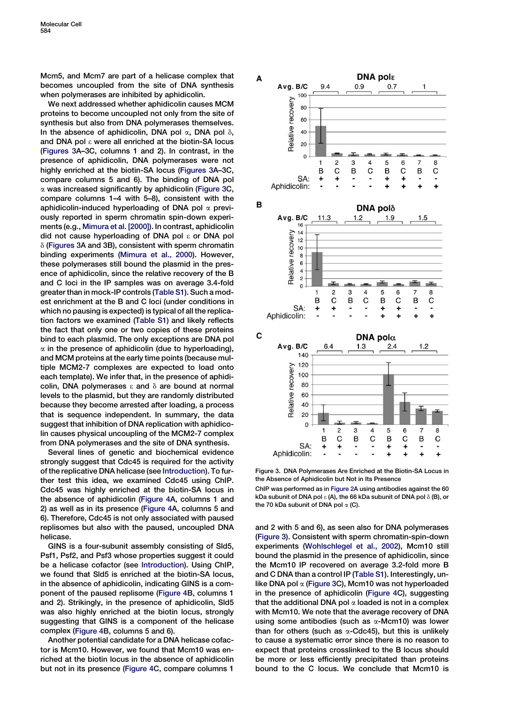Mcm5, and Mcm7 are part of a helicase complex that becomes uncoupled from the site of DNA synthesis when polymerases are inhibited by aphidicolin.

We next addressed whether aphidicolin causes MCM proteins to become uncoupled not only from the site of synthesis but also from DNA polymerases themselves. In the absence of aphidicolin, DNA pol  $\alpha$ , DNA pol  $\delta$ , and DNA pol  $\epsilon$  were all enriched at the biotin-SA locus (Figures 3A–3C, columns 1 and 2). In contrast, in the presence of aphidicolin, DNA polymerases were not highly enriched at the biotin-SA locus (Figures 3A–3C, compare columns 5 and 6). The binding of DNA pol  $\alpha$  was increased significantly by aphidicolin (Figure 3C, compare columns 1–4 with 5–8), consistent with the aphidicolin-induced hyperloading of DNA pol  $\alpha$  previously reported in sperm chromatin spin-down experiments (e.g., [Mimura et al. \[2000\]](#page-6-0)). In contrast, aphidicolin did not cause hyperloading of DNA pol  $\epsilon$  or DNA pol  $\delta$  (Figures 3A and 3B), consistent with sperm chromatin binding experiments ([Mimura et al., 2000](#page-6-0)). However, these polymerases still bound the plasmid in the presence of aphidicolin, since the relative recovery of the B and C loci in the IP samples was on average 3.4-fold greater than in mock-IP controls [\(Table S1](#page-5-0)). Such a modest enrichment at the B and C loci (under conditions in which no pausing is expected) is typical of all the replication factors we examined ([Table S1](#page-5-0)) and likely reflects the fact that only one or two copies of these proteins bind to each plasmid. The only exceptions are DNA pol  $\alpha$  in the presence of aphidicolin (due to hyperloading), and MCM proteins at the early time points (because multiple MCM2-7 complexes are expected to load onto each template). We infer that, in the presence of aphidicolin, DNA polymerases  $\epsilon$  and  $\delta$  are bound at normal levels to the plasmid, but they are randomly distributed because they become arrested after loading, a process that is sequence independent. In summary, the data suggest that inhibition of DNA replication with aphidicolin causes physical uncoupling of the MCM2-7 complex from DNA polymerases and the site of DNA synthesis.

Several lines of genetic and biochemical evidence strongly suggest that Cdc45 is required for the activity of the replicative DNA helicase (see [Introduction](#page-0-0)). To further test this idea, we examined Cdc45 using ChIP. Cdc45 was highly enriched at the biotin-SA locus in the absence of aphidicolin ([Figure 4](#page-4-0)A, columns 1 and 2) as well as in its presence [\(Figure 4](#page-4-0)A, columns 5 and 6). Therefore, Cdc45 is not only associated with paused replisomes but also with the paused, uncoupled DNA helicase.

GINS is a four-subunit assembly consisting of Sld5, Psf1, Psf2, and Psf3 whose properties suggest it could be a helicase cofactor (see [Introduction\)](#page-0-0). Using ChIP, we found that Sld5 is enriched at the biotin-SA locus, in the absence of aphidicolin, indicating GINS is a component of the paused replisome [\(Figure 4](#page-4-0)B, columns 1 and 2). Strikingly, in the presence of aphidicolin, Sld5 was also highly enriched at the biotin locus, strongly suggesting that GINS is a component of the helicase complex [\(Figure 4](#page-4-0)B, columns 5 and 6).

Another potential candidate for a DNA helicase cofactor is Mcm10. However, we found that Mcm10 was enriched at the biotin locus in the absence of aphidicolin but not in its presence ([Figure 4C](#page-4-0), compare columns 1



Figure 3. DNA Polymerases Are Enriched at the Biotin-SA Locus in the Absence of Aphidicolin but Not in Its Presence

ChIP was performed as in [Figure 2A](#page-2-0) using antibodies against the 60 kDa subunit of DNA pol  $\varepsilon$  (A), the 66 kDa subunit of DNA pol  $\delta$  (B), or the 70 kDa subunit of DNA pol  $\alpha$  (C).

and 2 with 5 and 6), as seen also for DNA polymerases (Figure 3). Consistent with sperm chromatin-spin-down experiments [\(Wohlschlegel et al., 2002](#page-6-0)), Mcm10 still bound the plasmid in the presence of aphidicolin, since the Mcm10 IP recovered on average 3.2-fold more B and C DNA than a control IP [\(Table S1\)](#page-5-0). Interestingly, unlike DNA pol  $\alpha$  (Figure 3C), Mcm10 was not hyperloaded in the presence of aphidicolin [\(Figure 4C](#page-4-0)), suggesting that the additional DNA pol  $\alpha$  loaded is not in a complex with Mcm10. We note that the average recovery of DNA using some antibodies (such as  $\alpha$ -Mcm10) was lower than for others (such as  $\alpha$ -Cdc45), but this is unlikely to cause a systematic error since there is no reason to expect that proteins crosslinked to the B locus should be more or less efficiently precipitated than proteins bound to the C locus. We conclude that Mcm10 is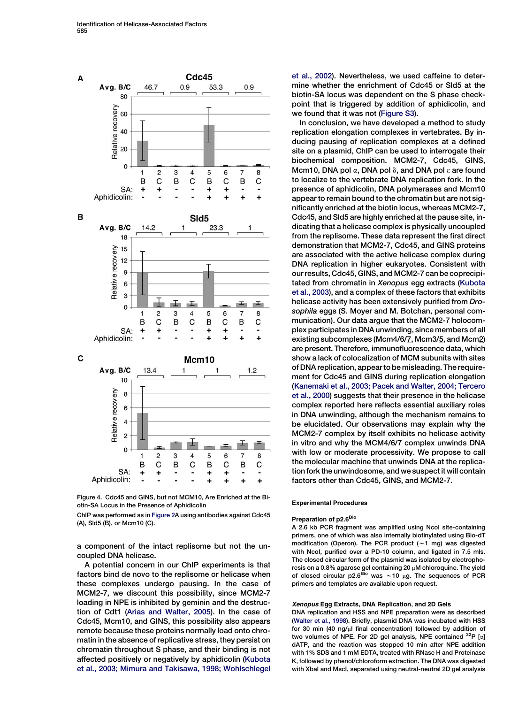<span id="page-4-0"></span>

Figure 4. Cdc45 and GINS, but not MCM10, Are Enriched at the Biotin-SA Locus in the Presence of Aphidicolin

ChIP was performed as in [Figure 2A](#page-2-0) using antibodies against Cdc45 (A), Sld5 (B), or Mcm10 (C).

a component of the intact replisome but not the uncoupled DNA helicase.

A potential concern in our ChIP experiments is that factors bind de novo to the replisome or helicase when these complexes undergo pausing. In the case of MCM2-7, we discount this possibility, since MCM2-7 loading in NPE is inhibited by geminin and the destruction of Cdt1 [\(Arias and Walter, 2005](#page-5-0)). In the case of Cdc45, Mcm10, and GINS, this possibility also appears remote because these proteins normally load onto chromatin in the absence of replicative stress, they persist on chromatin throughout S phase, and their binding is not affected positively or negatively by aphidicolin [\(Kubota](#page-5-0) [et al., 2003; Mimura and Takisawa, 1998; Wohlschlegel](#page-5-0) [et al., 2002](#page-5-0)). Nevertheless, we used caffeine to determine whether the enrichment of Cdc45 or Sld5 at the biotin-SA locus was dependent on the S phase checkpoint that is triggered by addition of aphidicolin, and we found that it was not ([Figure S3\)](#page-5-0).

In conclusion, we have developed a method to study replication elongation complexes in vertebrates. By inducing pausing of replication complexes at a defined site on a plasmid, ChIP can be used to interrogate their biochemical composition. MCM2-7, Cdc45, GINS, Mcm10, DNA pol  $\alpha$ , DNA pol  $\delta$ , and DNA pol  $\epsilon$  are found to localize to the vertebrate DNA replication fork. In the presence of aphidicolin, DNA polymerases and Mcm10 appear to remain bound to the chromatin but are not significantly enriched at the biotin locus, whereas MCM2-7, Cdc45, and Sld5 are highly enriched at the pause site, indicating that a helicase complex is physically uncoupled from the replisome. These data represent the first direct demonstration that MCM2-7, Cdc45, and GINS proteins are associated with the active helicase complex during DNA replication in higher eukaryotes. Consistent with our results, Cdc45, GINS, and MCM2-7 can be coprecipitated from chromatin in Xenopus egg extracts ([Kubota](#page-5-0) [et al., 2003](#page-5-0)), and a complex of these factors that exhibits helicase activity has been extensively purified from Drosophila eggs (S. Moyer and M. Botchan, personal communication). Our data argue that the MCM2-7 holocomplex participates in DNA unwinding, since members of all existing subcomplexes (Mcm4/6/7, Mcm3/5, and Mcm2) are present. Therefore, immunofluorescence data, which show a lack of colocalization of MCM subunits with sites of DNA replication, appear to be misleading. The requirement for Cdc45 and GINS during replication elongation [\(Kanemaki et al., 2003; Pacek and Walter, 2004; Tercero](#page-5-0) [et al., 2000\)](#page-5-0) suggests that their presence in the helicase complex reported here reflects essential auxiliary roles in DNA unwinding, although the mechanism remains to be elucidated. Our observations may explain why the MCM2-7 complex by itself exhibits no helicase activity in vitro and why the MCM4/6/7 complex unwinds DNA with low or moderate processivity. We propose to call the molecular machine that unwinds DNA at the replication fork the unwindosome, and we suspect it will contain factors other than Cdc45, GINS, and MCM2-7.

#### Experimental Procedures

## Preparation of p2.6<sup>Bio</sup>

A 2.6 kb PCR fragment was amplified using NcoI site-containing primers, one of which was also internally biotinylated using Bio-dT modification (Operon). The PCR product  $(\sim 1$  mg) was digested with NcoI, purified over a PD-10 column, and ligated in 7.5 mls. The closed circular form of the plasmid was isolated by electrophoresis on a 0.8% agarose gel containing 20  $\mu$ M chloroquine. The yield of closed circular p2.6<sup>Bio</sup> was  $\sim$  10 µg. The sequences of PCR primers and templates are available upon request.

### Xenopus Egg Extracts, DNA Replication, and 2D Gels

DNA replication and HSS and NPE preparation were as described ([Walter et al., 1998](#page-6-0)). Briefly, plasmid DNA was incubated with HSS for 30 min (40 ng/ $\mu$ l final concentration) followed by addition of two volumes of NPE. For 2D gel analysis, NPE contained  $^{32}P$  [ $\alpha$ ] dATP, and the reaction was stopped 10 min after NPE addition with 1% SDS and 1 mM EDTA, treated with RNase H and Proteinase K, followed by phenol/chloroform extraction. The DNA was digested with XbaI and MscI, separated using neutral-neutral 2D gel analysis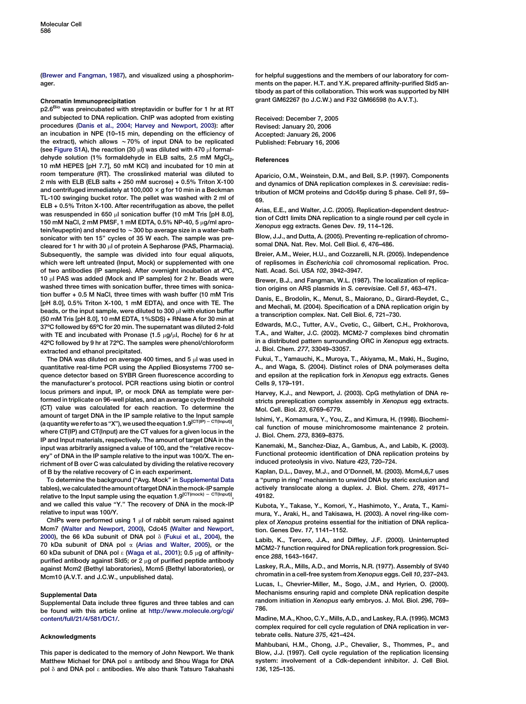<span id="page-5-0"></span>(Brewer and Fangman, 1987), and visualized using a phosphorimager.

#### Chromatin Immunoprecipitation

p2.6<sup>Bio</sup> was preincubated with streptavidin or buffer for 1 hr at RT and subjected to DNA replication. ChIP was adopted from existing procedures (Danis et al., 2004; Harvey and Newport, 2003): after an incubation in NPE (10–15 min, depending on the efficiency of the extract), which allows  $\sim70\%$  of input DNA to be replicated (see Figure S1A), the reaction (30  $\mu$ I) was diluted with 470  $\mu$ I formaldehyde solution (1% formaldehyde in ELB salts, 2.5 mM MgCl<sub>2</sub>, 10 mM HEPES [pH 7.7], 50 mM KCl) and incubated for 10 min at room temperature (RT). The crosslinked material was diluted to 2 mls with ELB (ELB salts + 250 mM sucrose) + 0.5% Triton X-100 and centrifuged immediately at 100,000  $\times$  g for 10 min in a Beckman TL-100 swinging bucket rotor. The pellet was washed with 2 ml of ELB + 0.5% Triton X-100. After recentrifugation as above, the pellet was resuspended in 650 **ul sonication buffer (10 mM Tris [pH 8.0]**, 150 mM NaCl, 2 mM PMSF, 1 mM EDTA, 0.5% NP-40, 5  $\mu$ g/ml aprotein/leupeptin) and sheared to  $\sim$  300 bp average size in a water-bath sonicator with ten 15'' cycles of 35 W each. The sample was precleared for 1 hr with 30  $\mu$ l of protein A Sepharose (PAS, Pharmacia). Subsequently, the sample was divided into four equal aliquots, which were left untreated (Input, Mock) or supplemented with one of two antibodies (IP samples). After overnight incubation at 4ºC, 10 µl PAS was added (Mock and IP samples) for 2 hr. Beads were washed three times with sonication buffer, three times with sonication buffer + 0.5 M NaCl, three times with wash buffer (10 mM Tris [pH 8.0], 0.5% Triton X-100, 1 mM EDTA), and once with TE. The beads, or the input sample, were diluted to 300 ul with elution buffer (50 mM Tris [pH 8.0], 10 mM EDTA, 1%SDS) + RNase A for 30 min at 37ºC followed by 65ºC for 20 min. The supernatant was diluted 2-fold with TE and incubated with Pronase  $(1.5 \mu g/\mu l,$  Roche) for 6 hr at 42ºC followed by 9 hr at 72ºC. The samples were phenol/chloroform extracted and ethanol precipitated.

The DNA was diluted on average 400 times, and 5  $\mu$ l was used in quantitative real-time PCR using the Applied Biosystems 7700 sequence detector based on SYBR Green fluorescence according to the manufacturer's protocol. PCR reactions using biotin or control locus primers and input, IP, or mock DNA as template were performed in triplicate on 96-well plates, and an average cycle threshold (CT) value was calculated for each reaction. To determine the amount of target DNA in the IP sample relative to the Input sample (a quantity we refer to as "X"), we used the equation 1.9<sup>[CT(IP) – CT(Input)]</sup>, where CT(IP) and CT(Input) are the CT values for a given locus in the IP and Input materials, respectively. The amount of target DNA in the input was arbitrarily assigned a value of 100, and the ''relative recovery'' of DNA in the IP sample relative to the input was 100/X. The enrichment of B over C was calculated by dividing the relative recovery of B by the relative recovery of C in each experiment.

To determine the background ("Avg. Mock" in Supplemental Data tables),wecalculatedtheamountoftargetDNAinthemock-IPsample relative to the Input sample using the equation 1.9<sup>[CT(mock)</sup> - CT(Input)] and we called this value ''Y.'' The recovery of DNA in the mock-IP relative to input was 100/Y.

ChIPs were performed using 1  $\mu$ l of rabbit serum raised against Mcm7 [\(Walter and Newport, 2000\)](#page-6-0), Cdc45 [\(Walter and Newport,](#page-6-0) [2000](#page-6-0)), the 66 kDa subunit of DNA pol  $\delta$  (Fukui et al., 2004), the 70 kDa subunit of DNA pol  $\alpha$  (Arias and Walter, 2005), or the 60 kDa subunit of DNA pol  $\epsilon$  ([Waga et al., 2001\)](#page-6-0); 0.5  $\mu$ g of affinitypurified antibody against Sld5; or 2  $\mu$ g of purified peptide antibody against Mcm2 (Bethyl laboratories), Mcm5 (Bethyl laboratories), or Mcm10 (A.V.T. and J.C.W., unpublished data).

#### Supplemental Data

Supplemental Data include three figures and three tables and can be found with this article online at [http://www.molecule.org/cgi/](http://www.molecule.org/cgi/content/full/21/4/581/DC1/) [content/full/21/4/581/DC1/.](http://www.molecule.org/cgi/content/full/21/4/581/DC1/)

#### Acknowledgments

This paper is dedicated to the memory of John Newport. We thank Matthew Michael for DNA pol  $\alpha$  antibody and Shou Waga for DNA pol  $\delta$  and DNA pol  $\epsilon$  antibodies. We also thank Tatsuro Takahashi for helpful suggestions and the members of our laboratory for comments on the paper. H.T. and Y.K. prepared affinity-purified Sld5 antibody as part of this collaboration. This work was supported by NIH grant GM62267 (to J.C.W.) and F32 GM66598 (to A.V.T.).

Received: December 7, 2005 Revised: January 20, 2006 Accepted: January 26, 2006 Published: February 16, 2006

#### References

Aparicio, O.M., Weinstein, D.M., and Bell, S.P. (1997). Components and dynamics of DNA replication complexes in S. cerevisiae: redistribution of MCM proteins and Cdc45p during S phase. Cell 91, 59– 69.

Arias, E.E., and Walter, J.C. (2005). Replication-dependent destruction of Cdt1 limits DNA replication to a single round per cell cycle in Xenopus egg extracts. Genes Dev. 19, 114–126.

Blow, J.J., and Dutta, A. (2005). Preventing re-replication of chromosomal DNA. Nat. Rev. Mol. Cell Biol. 6, 476–486.

Breier, A.M., Weier, H.U., and Cozzarelli, N.R. (2005). Independence of replisomes in Escherichia coli chromosomal replication. Proc. Natl. Acad. Sci. USA 102, 3942–3947.

Brewer, B.J., and Fangman, W.L. (1987). The localization of replication origins on ARS plasmids in S. cerevisiae. Cell 51, 463–471.

Danis, E., Brodolin, K., Menut, S., Maiorano, D., Girard-Reydet, C., and Mechali, M. (2004). Specification of a DNA replication origin by a transcription complex. Nat. Cell Biol. 6, 721–730.

Edwards, M.C., Tutter, A.V., Cvetic, C., Gilbert, C.H., Prokhorova, T.A., and Walter, J.C. (2002). MCM2-7 complexes bind chromatin in a distributed pattern surrounding ORC in Xenopus egg extracts. J. Biol. Chem. 277, 33049–33057.

Fukui, T., Yamauchi, K., Muroya, T., Akiyama, M., Maki, H., Sugino, A., and Waga, S. (2004). Distinct roles of DNA polymerases delta and epsilon at the replication fork in Xenopus egg extracts. Genes Cells 9, 179–191.

Harvey, K.J., and Newport, J. (2003). CpG methylation of DNA restricts prereplication complex assembly in Xenopus egg extracts. Mol. Cell. Biol. 23, 6769–6779.

Ishimi, Y., Komamura, Y., You, Z., and Kimura, H. (1998). Biochemical function of mouse minichromosome maintenance 2 protein. J. Biol. Chem. 273, 8369–8375.

Kanemaki, M., Sanchez-Diaz, A., Gambus, A., and Labib, K. (2003). Functional proteomic identification of DNA replication proteins by induced proteolysis in vivo. Nature 423, 720–724.

Kaplan, D.L., Davey, M.J., and O'Donnell, M. (2003). Mcm4,6,7 uses a ''pump in ring'' mechanism to unwind DNA by steric exclusion and actively translocate along a duplex. J. Biol. Chem. 278, 49171– 49182.

Kubota, Y., Takase, Y., Komori, Y., Hashimoto, Y., Arata, T., Kamimura, Y., Araki, H., and Takisawa, H. (2003). A novel ring-like complex of Xenopus proteins essential for the initiation of DNA replication. Genes Dev. 17, 1141–1152.

Labib, K., Tercero, J.A., and Diffley, J.F. (2000). Uninterrupted MCM2-7 function required for DNA replication fork progression. Science 288, 1643–1647.

Laskey, R.A., Mills, A.D., and Morris, N.R. (1977). Assembly of SV40 chromatin in a cell-free system from Xenopus eggs. Cell 10, 237–243.

Lucas, I., Chevrier-Miller, M., Sogo, J.M., and Hyrien, O. (2000). Mechanisms ensuring rapid and complete DNA replication despite random initiation in Xenopus early embryos. J. Mol. Biol. 296, 769– 786.

Madine, M.A., Khoo, C.Y., Mills, A.D., and Laskey, R.A. (1995). MCM3 complex required for cell cycle regulation of DNA replication in vertebrate cells. Nature 375, 421–424.

Mahbubani, H.M., Chong, J.P., Chevalier, S., Thommes, P., and Blow, J.J. (1997). Cell cycle regulation of the replication licensing system: involvement of a Cdk-dependent inhibitor. J. Cell Biol. 136, 125–135.